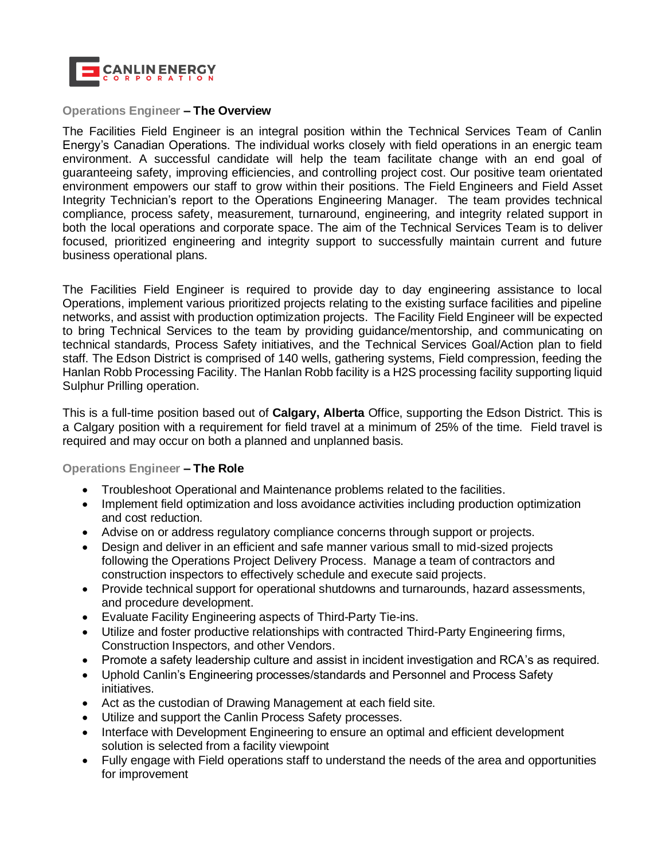

## **Operations Engineer – The Overview**

The Facilities Field Engineer is an integral position within the Technical Services Team of Canlin Energy's Canadian Operations. The individual works closely with field operations in an energic team environment. A successful candidate will help the team facilitate change with an end goal of guaranteeing safety, improving efficiencies, and controlling project cost. Our positive team orientated environment empowers our staff to grow within their positions. The Field Engineers and Field Asset Integrity Technician's report to the Operations Engineering Manager. The team provides technical compliance, process safety, measurement, turnaround, engineering, and integrity related support in both the local operations and corporate space. The aim of the Technical Services Team is to deliver focused, prioritized engineering and integrity support to successfully maintain current and future business operational plans.

The Facilities Field Engineer is required to provide day to day engineering assistance to local Operations, implement various prioritized projects relating to the existing surface facilities and pipeline networks, and assist with production optimization projects. The Facility Field Engineer will be expected to bring Technical Services to the team by providing guidance/mentorship, and communicating on technical standards, Process Safety initiatives, and the Technical Services Goal/Action plan to field staff. The Edson District is comprised of 140 wells, gathering systems, Field compression, feeding the Hanlan Robb Processing Facility. The Hanlan Robb facility is a H2S processing facility supporting liquid Sulphur Prilling operation.

This is a full-time position based out of **Calgary, Alberta** Office, supporting the Edson District. This is a Calgary position with a requirement for field travel at a minimum of 25% of the time. Field travel is required and may occur on both a planned and unplanned basis.

## **Operations Engineer – The Role**

- Troubleshoot Operational and Maintenance problems related to the facilities.
- Implement field optimization and loss avoidance activities including production optimization and cost reduction.
- Advise on or address regulatory compliance concerns through support or projects.
- Design and deliver in an efficient and safe manner various small to mid-sized projects following the Operations Project Delivery Process. Manage a team of contractors and construction inspectors to effectively schedule and execute said projects.
- Provide technical support for operational shutdowns and turnarounds, hazard assessments, and procedure development.
- Evaluate Facility Engineering aspects of Third-Party Tie-ins.
- Utilize and foster productive relationships with contracted Third-Party Engineering firms, Construction Inspectors, and other Vendors.
- Promote a safety leadership culture and assist in incident investigation and RCA's as required.
- Uphold Canlin's Engineering processes/standards and Personnel and Process Safety initiatives.
- Act as the custodian of Drawing Management at each field site.
- Utilize and support the Canlin Process Safety processes.
- Interface with Development Engineering to ensure an optimal and efficient development solution is selected from a facility viewpoint
- Fully engage with Field operations staff to understand the needs of the area and opportunities for improvement